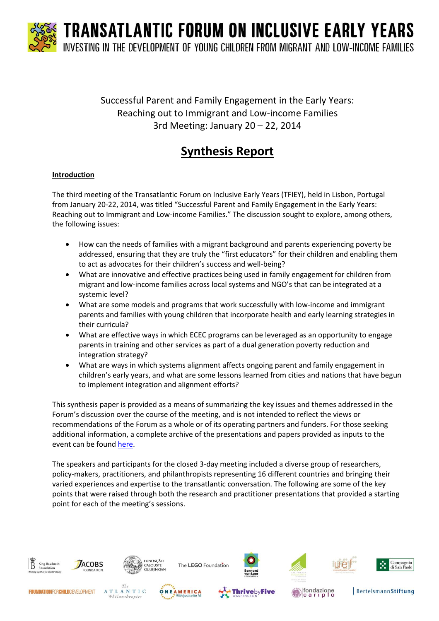

### Successful Parent and Family Engagement in the Early Years: Reaching out to Immigrant and Low-income Families 3rd Meeting: January 20 – 22, 2014

## **Synthesis Report**

#### **Introduction**

The third meeting of the Transatlantic Forum on Inclusive Early Years (TFIEY), held in Lisbon, Portugal from January 20-22, 2014, was titled "Successful Parent and Family Engagement in the Early Years: Reaching out to Immigrant and Low-income Families." The discussion sought to explore, among others, the following issues:

- How can the needs of families with a migrant background and parents experiencing poverty be addressed, ensuring that they are truly the "first educators" for their children and enabling them to act as advocates for their children's success and well-being?
- What are innovative and effective practices being used in family engagement for children from migrant and low-income families across local systems and NGO's that can be integrated at a systemic level?
- What are some models and programs that work successfully with low-income and immigrant parents and families with young children that incorporate health and early learning strategies in their curricula?
- What are effective ways in which ECEC programs can be leveraged as an opportunity to engage parents in training and other services as part of a dual generation poverty reduction and integration strategy?
- What are ways in which systems alignment affects ongoing parent and family engagement in children's early years, and what are some lessons learned from cities and nations that have begun to implement integration and alignment efforts?

This synthesis paper is provided as a means of summarizing the key issues and themes addressed in the Forum's discussion over the course of the meeting, and is not intended to reflect the views or recommendations of the Forum as a whole or of its operating partners and funders. For those seeking additional information, a complete archive of the presentations and papers provided as inputs to the event can be foun[d here.](http://www.calameo.com/read/00177429593a24d899610?authid=ydOk80GNRu0b)

The speakers and participants for the closed 3-day meeting included a diverse group of researchers, policy-makers, practitioners, and philanthropists representing 16 different countries and bringing their varied experiences and expertise to the transatlantic conversation. The following are some of the key points that were raised through both the research and practitioner presentations that provided a starting point for each of the meeting's sessions.

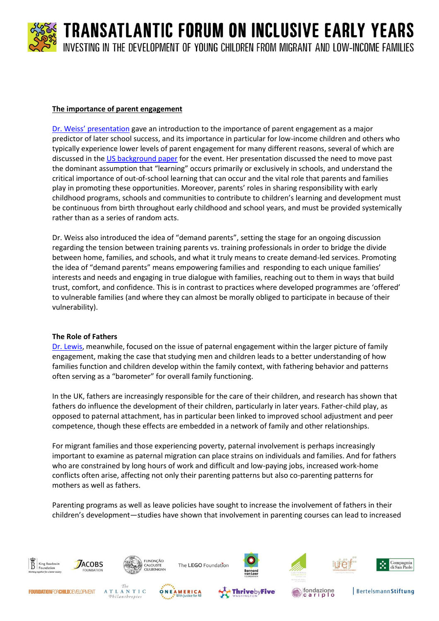#### **The importance of parent engagement**

[Dr. Weiss' presentation](http://www.kbs-frb.be/uploadedFiles/2012-KBS-FRB/05)_Pictures,_documents_and_external_sites/13)_Speech/2014_TFIEY_HWeis.pdf) gave an introduction to the importance of parent engagement as a major predictor of later school success, and its importance in particular for low-income children and others who typically experience lower levels of parent engagement for many different reasons, several of which are discussed in th[e US background paper](http://www.calameo.com/read/0017742950d864bf211c9?authid=YA5KFHMLh58p) for the event. Her presentation discussed the need to move past the dominant assumption that "learning" occurs primarily or exclusively in schools, and understand the critical importance of out-of-school learning that can occur and the vital role that parents and families play in promoting these opportunities. Moreover, parents' roles in sharing responsibility with early childhood programs, schools and communities to contribute to children's learning and development must be continuous from birth throughout early childhood and school years, and must be provided systemically rather than as a series of random acts.

Dr. Weiss also introduced the idea of "demand parents", setting the stage for an ongoing discussion regarding the tension between training parents vs. training professionals in order to bridge the divide between home, families, and schools, and what it truly means to create demand-led services. Promoting the idea of "demand parents" means empowering families and responding to each unique families' interests and needs and engaging in true dialogue with families, reaching out to them in ways that build trust, comfort, and confidence. This is in contrast to practices where developed programmes are 'offered' to vulnerable families (and where they can almost be morally obliged to participate in because of their vulnerability).

#### **The Role of Fathers**

[Dr. Lewis,](http://www.kbs-frb.be/uploadedFiles/2012-KBS-FRB/05)_Pictures,_documents_and_external_sites/13)_Speech/2014_TFIEY_CLewis.pdf) meanwhile, focused on the issue of paternal engagement within the larger picture of family engagement, making the case that studying men and children leads to a better understanding of how families function and children develop within the family context, with fathering behavior and patterns often serving as a "barometer" for overall family functioning.

In the UK, fathers are increasingly responsible for the care of their children, and research has shown that fathers do influence the development of their children, particularly in later years. Father-child play, as opposed to paternal attachment, has in particular been linked to improved school adjustment and peer competence, though these effects are embedded in a network of family and other relationships.

For migrant families and those experiencing poverty, paternal involvement is perhaps increasingly important to examine as paternal migration can place strains on individuals and families. And for fathers who are constrained by long hours of work and difficult and low-paying jobs, increased work-home conflicts often arise, affecting not only their parenting patterns but also co-parenting patterns for mothers as well as fathers.

Parenting programs as well as leave policies have sought to increase the involvement of fathers in their children's development—studies have shown that involvement in parenting courses can lead to increased

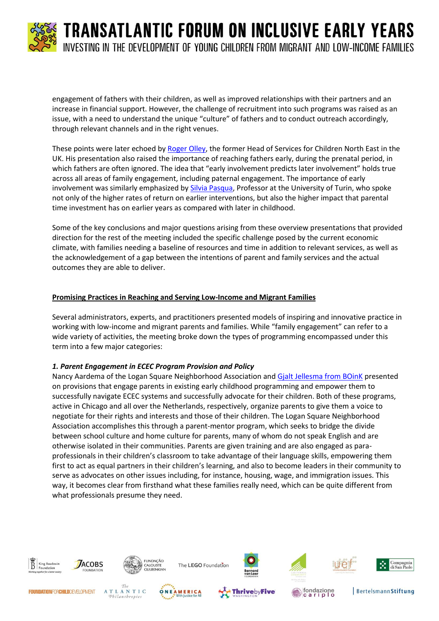

engagement of fathers with their children, as well as improved relationships with their partners and an increase in financial support. However, the challenge of recruitment into such programs was raised as an issue, with a need to understand the unique "culture" of fathers and to conduct outreach accordingly, through relevant channels and in the right venues.

These points were later echoed by [Roger Olley,](http://www.kbs-frb.be/uploadedFiles/2012-KBS-FRB/05)_Pictures,_documents_and_external_sites/13)_Speech/2014_TFIEY_ROlley.pdf) the former Head of Services for Children North East in the UK. His presentation also raised the importance of reaching fathers early, during the prenatal period, in which fathers are often ignored. The idea that "early involvement predicts later involvement" holds true across all areas of family engagement, including paternal engagement. The importance of early involvement was similarly emphasized by [Silvia Pasqua,](http://www.kbs-frb.be/uploadedFiles/2012-KBS-FRB/05)_Pictures,_documents_and_external_sites/13)_Speech/2014_TFIEY_SPasqua.pdf) Professor at the University of Turin, who spoke not only of the higher rates of return on earlier interventions, but also the higher impact that parental time investment has on earlier years as compared with later in childhood.

Some of the key conclusions and major questions arising from these overview presentations that provided direction for the rest of the meeting included the specific challenge posed by the current economic climate, with families needing a baseline of resources and time in addition to relevant services, as well as the acknowledgement of a gap between the intentions of parent and family services and the actual outcomes they are able to deliver.

#### **Promising Practices in Reaching and Serving Low-Income and Migrant Families**

Several administrators, experts, and practitioners presented models of inspiring and innovative practice in working with low-income and migrant parents and families. While "family engagement" can refer to a wide variety of activities, the meeting broke down the types of programming encompassed under this term into a few major categories:

#### *1. Parent Engagement in ECEC Program Provision and Policy*

Nancy Aardema of the Logan Square Neighborhood Association and [Gjalt Jellesma from BOinK](http://www.kbs-frb.be/uploadedFiles/2012-KBS-FRB/05)_Pictures,_documents_and_external_sites/13)_Speech/2014_TFIEY_GJellesma.pdf) presented on provisions that engage parents in existing early childhood programming and empower them to successfully navigate ECEC systems and successfully advocate for their children. Both of these programs, active in Chicago and all over the Netherlands, respectively, organize parents to give them a voice to negotiate for their rights and interests and those of their children. The Logan Square Neighborhood Association accomplishes this through a parent-mentor program, which seeks to bridge the divide between school culture and home culture for parents, many of whom do not speak English and are otherwise isolated in their communities. Parents are given training and are also engaged as paraprofessionals in their children's classroom to take advantage of their language skills, empowering them first to act as equal partners in their children's learning, and also to become leaders in their community to serve as advocates on other issues including, for instance, housing, wage, and immigration issues. This way, it becomes clear from firsthand what these families really need, which can be quite different from what professionals presume they need.









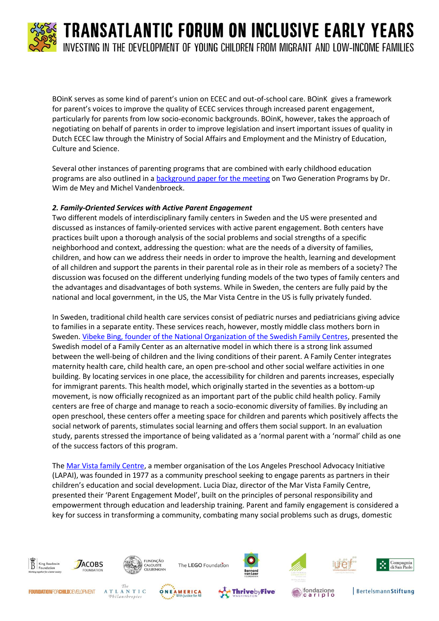BOinK serves as some kind of parent's union on ECEC and out-of-school care. BOinK gives a framework for parent's voices to improve the quality of ECEC services through increased parent engagement, particularly for parents from low socio-economic backgrounds. BOinK, however, takes the approach of negotiating on behalf of parents in order to improve legislation and insert important issues of quality in Dutch ECEC law through the Ministry of Social Affairs and Employment and the Ministry of Education, Culture and Science.

Several other instances of parenting programs that are combined with early childhood education programs are also outlined in a [background paper for the meeting](http://www.calameo.com/read/00177429590553f6fe794?authid=gkyBUV8Y44RL) on Two Generation Programs by Dr. Wim de Mey and Michel Vandenbroeck.

#### *2. Family-Oriented Services with Active Parent Engagement*

Two different models of interdisciplinary family centers in Sweden and the US were presented and discussed as instances of family-oriented services with active parent engagement. Both centers have practices built upon a thorough analysis of the social problems and social strengths of a specific neighborhood and context, addressing the question: what are the needs of a diversity of families, children, and how can we address their needs in order to improve the health, learning and development of all children and support the parents in their parental role as in their role as members of a society? The discussion was focused on the different underlying funding models of the two types of family centers and the advantages and disadvantages of both systems. While in Sweden, the centers are fully paid by the national and local government, in the US, the Mar Vista Centre in the US is fully privately funded.

In Sweden, traditional child health care services consist of pediatric nurses and pediatricians giving advice to families in a separate entity. These services reach, however, mostly middle class mothers born in Sweden[. Vibeke Bing, founder of the National Organization of the Swedish Family Centres,](http://www.kbs-frb.be/uploadedFiles/2012-KBS-FRB/05)_Pictures,_documents_and_external_sites/13)_Speech/2014_TFIEY_VBing.pdf) presented the Swedish model of a Family Center as an alternative model in which there is a strong link assumed between the well-being of children and the living conditions of their parent. A Family Center integrates maternity health care, child health care, an open pre-school and other social welfare activities in one building. By locating services in one place, the accessibility for children and parents increases, especially for immigrant parents. This health model, which originally started in the seventies as a bottom-up movement, is now officially recognized as an important part of the public child health policy. Family centers are free of charge and manage to reach a socio-economic diversity of families. By including an open preschool, these centers offer a meeting space for children and parents which positively affects the social network of parents, stimulates social learning and offers them social support. In an evaluation study, parents stressed the importance of being validated as a 'normal parent with a 'normal' child as one of the success factors of this program.

The [Mar Vista family Centre,](http://www.kbs-frb.be/uploadedFiles/2012-KBS-FRB/05)_Pictures,_documents_and_external_sites/13)_Speech/2014_TFIEY_LDiaz.pdf) a member organisation of the Los Angeles Preschool Advocacy Initiative (LAPAI), was founded in 1977 as a community preschool seeking to engage parents as partners in their children's education and social development. Lucia Diaz, director of the Mar Vista Family Centre, presented their 'Parent Engagement Model', built on the principles of personal responsibility and empowerment through education and leadership training. Parent and family engagement is considered a key for success in transforming a community, combating many social problems such as drugs, domestic



Philanthropies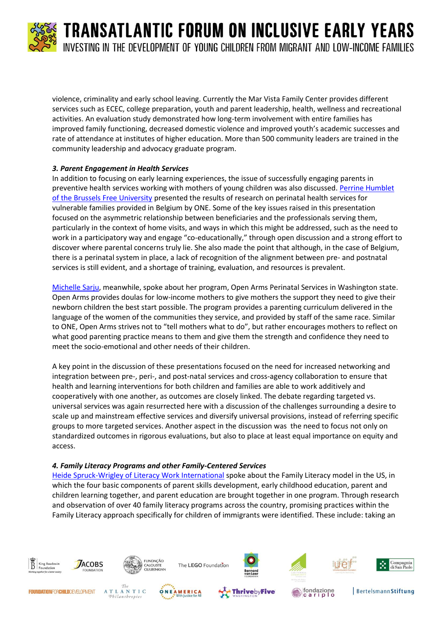

violence, criminality and early school leaving. Currently the Mar Vista Family Center provides different services such as ECEC, college preparation, youth and parent leadership, health, wellness and recreational activities. An evaluation study demonstrated how long-term involvement with entire families has improved family functioning, decreased domestic violence and improved youth's academic successes and rate of attendance at institutes of higher education. More than 500 community leaders are trained in the community leadership and advocacy graduate program.

#### *3. Parent Engagement in Health Services*

In addition to focusing on early learning experiences, the issue of successfully engaging parents in preventive health services working with mothers of young children was also discussed. Perrine Humblet [of the Brussels Free University](http://www.kbs-frb.be/uploadedFiles/2012-KBS-FRB/05)_Pictures,_documents_and_external_sites/13)_Speech/2014_TFIEY_PHumblet.pdf) presented the results of research on perinatal health services for vulnerable families provided in Belgium by ONE. Some of the key issues raised in this presentation focused on the asymmetric relationship between beneficiaries and the professionals serving them, particularly in the context of home visits, and ways in which this might be addressed, such as the need to work in a participatory way and engage "co-educationally," through open discussion and a strong effort to discover where parental concerns truly lie. She also made the point that although, in the case of Belgium, there is a perinatal system in place, a lack of recognition of the alignment between pre- and postnatal services is still evident, and a shortage of training, evaluation, and resources is prevalent.

[Michelle Sarju,](http://www.kbs-frb.be/uploadedFiles/2012-KBS-FRB/05)_Pictures,_documents_and_external_sites/13)_Speech/2014_TFIEY_MSarju.pdf) meanwhile, spoke about her program, Open Arms Perinatal Services in Washington state. Open Arms provides doulas for low-income mothers to give mothers the support they need to give their newborn children the best start possible. The program provides a parenting curriculum delivered in the language of the women of the communities they service, and provided by staff of the same race. Similar to ONE, Open Arms strives not to "tell mothers what to do", but rather encourages mothers to reflect on what good parenting practice means to them and give them the strength and confidence they need to meet the socio-emotional and other needs of their children.

A key point in the discussion of these presentations focused on the need for increased networking and integration between pre-, peri-, and post-natal services and cross-agency collaboration to ensure that health and learning interventions for both children and families are able to work additively and cooperatively with one another, as outcomes are closely linked. The debate regarding targeted vs. universal services was again resurrected here with a discussion of the challenges surrounding a desire to scale up and mainstream effective services and diversify universal provisions, instead of referring specific groups to more targeted services. Another aspect in the discussion was the need to focus not only on standardized outcomes in rigorous evaluations, but also to place at least equal importance on equity and access.

#### *4. Family Literacy Programs and other Family-Centered Services*

[Heide Spruck-Wrigley of Literacy Work International](http://www.kbs-frb.be/uploadedFiles/2012-KBS-FRB/05)_Pictures,_documents_and_external_sites/13)_Speech/2014_TFIEY_HSpruck.pdf) spoke about the Family Literacy model in the US, in which the four basic components of parent skills development, early childhood education, parent and children learning together, and parent education are brought together in one program. Through research and observation of over 40 family literacy programs across the country, promising practices within the Family Literacy approach specifically for children of immigrants were identified. These include: taking an













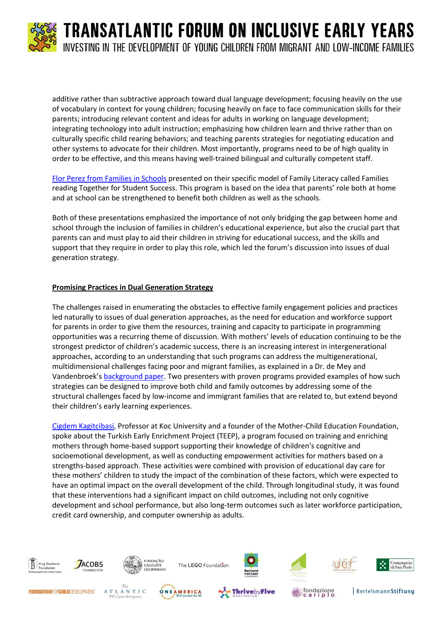

additive rather than subtractive approach toward dual language development; focusing heavily on the use of vocabulary in context for young children; focusing heavily on face to face communication skills for their parents; introducing relevant content and ideas for adults in working on language development; integrating technology into adult instruction; emphasizing how children learn and thrive rather than on culturally specific child rearing behaviors; and teaching parents strategies for negotiating education and other systems to advocate for their children. Most importantly, programs need to be of high quality in order to be effective, and this means having well-trained bilingual and culturally competent staff.

Flor Perez from [Families in Schools](http://www.kbs-frb.be/uploadedFiles/2012-KBS-FRB/05)_Pictures,_documents_and_external_sites/13)_Speech/2014_TFIEY_FPerez.pdf) presented on their specific model of Family Literacy called Families reading Together for Student Success. This program is based on the idea that parents' role both at home and at school can be strengthened to benefit both children as well as the schools.

Both of these presentations emphasized the importance of not only bridging the gap between home and school through the inclusion of families in children's educational experience, but also the crucial part that parents can and must play to aid their children in striving for educational success, and the skills and support that they require in order to play this role, which led the forum's discussion into issues of dual generation strategy.

#### **Promising Practices in Dual Generation Strategy**

The challenges raised in enumerating the obstacles to effective family engagement policies and practices led naturally to issues of dual generation approaches, as the need for education and workforce support for parents in order to give them the resources, training and capacity to participate in programming opportunities was a recurring theme of discussion. With mothers' levels of education continuing to be the strongest predictor of children's academic success, there is an increasing interest in intergenerational approaches, according to an understanding that such programs can address the multigenerational, multidimensional challenges facing poor and migrant families, as explained in a Dr. de Mey and Vandenbroek's [background paper.](http://www.calameo.com/read/00177429590553f6fe794?authid=gkyBUV8Y44RL) Two presenters with proven programs provided examples of how such strategies can be designed to improve both child and family outcomes by addressing some of the structural challenges faced by low-income and immigrant families that are related to, but extend beyond their children's early learning experiences.

[Cigdem Kagitcibasi,](http://www.kbs-frb.be/uploadedFiles/2012-KBS-FRB/05)_Pictures,_documents_and_external_sites/13)_Speech/2014_TFIEY_CKagitcibasi.pdf) Professor at Koc University and a founder of the Mother-Child Education Foundation, spoke about the Turkish Early Enrichment Project (TEEP), a program focused on training and enriching mothers through home-based support supporting their knowledge of children's cognitive and socioemotional development, as well as conducting empowerment activities for mothers based on a strengths-based approach. These activities were combined with provision of educational day care for these mothers' children to study the impact of the combination of these factors, which were expected to have an optimal impact on the overall development of the child. Through longitudinal study, it was found that these interventions had a significant impact on child outcomes, including not only cognitive development and school performance, but also long-term outcomes such as later workforce participation, credit card ownership, and computer ownership as adults.

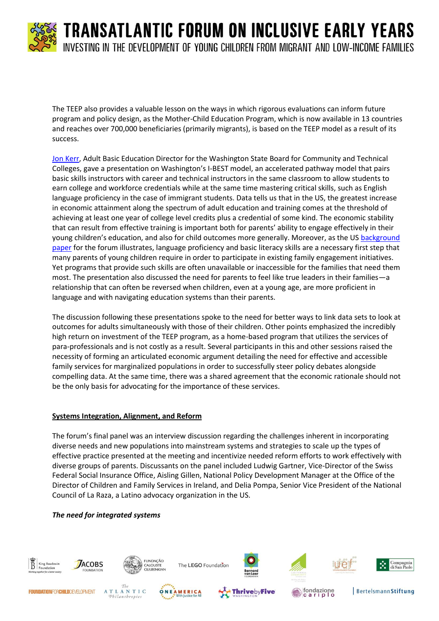

The TEEP also provides a valuable lesson on the ways in which rigorous evaluations can inform future program and policy design, as the Mother-Child Education Program, which is now available in 13 countries and reaches over 700,000 beneficiaries (primarily migrants), is based on the TEEP model as a result of its success.

[Jon Kerr,](http://www.kbs-frb.be/uploadedFiles/2012-KBS-FRB/05)_Pictures,_documents_and_external_sites/13)_Speech/2014_TFIEY_JKerr.pdf) Adult Basic Education Director for the Washington State Board for Community and Technical Colleges, gave a presentation on Washington's I-BEST model, an accelerated pathway model that pairs basic skills instructors with career and technical instructors in the same classroom to allow students to earn college and workforce credentials while at the same time mastering critical skills, such as English language proficiency in the case of immigrant students. Data tells us that in the US, the greatest increase in economic attainment along the spectrum of adult education and training comes at the threshold of achieving at least one year of college level credits plus a credential of some kind. The economic stability that can result from effective training is important both for parents' ability to engage effectively in their young children's education, and also for child outcomes more generally. Moreover, as the US background [paper](http://www.calameo.com/read/0017742950d864bf211c9?authid=YA5KFHMLh58p) for the forum illustrates, language proficiency and basic literacy skills are a necessary first step that many parents of young children require in order to participate in existing family engagement initiatives. Yet programs that provide such skills are often unavailable or inaccessible for the families that need them most. The presentation also discussed the need for parents to feel like true leaders in their families—a relationship that can often be reversed when children, even at a young age, are more proficient in language and with navigating education systems than their parents.

The discussion following these presentations spoke to the need for better ways to link data sets to look at outcomes for adults simultaneously with those of their children. Other points emphasized the incredibly high return on investment of the TEEP program, as a home-based program that utilizes the services of para-professionals and is not costly as a result. Several participants in this and other sessions raised the necessity of forming an articulated economic argument detailing the need for effective and accessible family services for marginalized populations in order to successfully steer policy debates alongside compelling data. At the same time, there was a shared agreement that the economic rationale should not be the only basis for advocating for the importance of these services.

#### **Systems Integration, Alignment, and Reform**

The forum's final panel was an interview discussion regarding the challenges inherent in incorporating diverse needs and new populations into mainstream systems and strategies to scale up the types of effective practice presented at the meeting and incentivize needed reform efforts to work effectively with diverse groups of parents. Discussants on the panel included Ludwig Gartner, Vice-Director of the Swiss Federal Social Insurance Office, Aisling Gillen, National Policy Development Manager at the Office of the Director of Children and Family Services in Ireland, and Delia Pompa, Senior Vice President of the National Council of La Raza, a Latino advocacy organization in the US.

#### *The need for integrated systems*

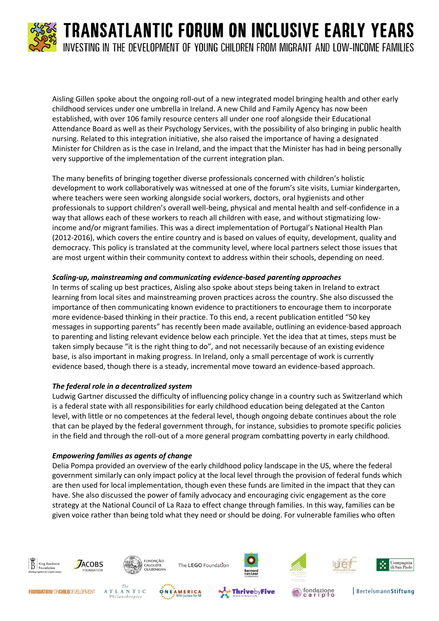

Aisling Gillen spoke about the ongoing roll-out of a new integrated model bringing health and other early childhood services under one umbrella in Ireland. A new Child and Family Agency has now been established, with over 106 family resource centers all under one roof alongside their Educational Attendance Board as well as their Psychology Services, with the possibility of also bringing in public health nursing. Related to this integration initiative, she also raised the importance of having a designated Minister for Children as is the case in Ireland, and the impact that the Minister has had in being personally very supportive of the implementation of the current integration plan.

The many benefits of bringing together diverse professionals concerned with children's holistic development to work collaboratively was witnessed at one of the forum's site visits, Lumiar kindergarten, where teachers were seen working alongside social workers, doctors, oral hygienists and other professionals to support children's overall well-being, physical and mental health and self-confidence in a way that allows each of these workers to reach all children with ease, and without stigmatizing lowincome and/or migrant families. This was a direct implementation of Portugal's National Health Plan (2012-2016), which covers the entire country and is based on values of equity, development, quality and democracy. This policy is translated at the community level, where local partners select those issues that are most urgent within their community context to address within their schools, depending on need.

#### *Scaling-up, mainstreaming and communicating evidence-based parenting approaches*

In terms of scaling up best practices, Aisling also spoke about steps being taken in Ireland to extract learning from local sites and mainstreaming proven practices across the country. She also discussed the importance of then communicating known evidence to practitioners to encourage them to incorporate more evidence-based thinking in their practice. To this end, a recent publication entitled "50 key messages in supporting parents" has recently been made available, outlining an evidence-based approach to parenting and listing relevant evidence below each principle. Yet the idea that at times, steps must be taken simply because "it is the right thing to do", and not necessarily because of an existing evidence base, is also important in making progress. In Ireland, only a small percentage of work is currently evidence based, though there is a steady, incremental move toward an evidence-based approach.

#### *The federal role in a decentralized system*

Ludwig Gartner discussed the difficulty of influencing policy change in a country such as Switzerland which is a federal state with all responsibilities for early childhood education being delegated at the Canton level, with little or no competences at the federal level, though ongoing debate continues about the role that can be played by the federal government through, for instance, subsidies to promote specific policies in the field and through the roll-out of a more general program combatting poverty in early childhood.

#### *Empowering families as agents of change*

Delia Pompa provided an overview of the early childhood policy landscape in the US, where the federal government similarly can only impact policy at the local level through the provision of federal funds which are then used for local implementation, though even these funds are limited in the impact that they can have. She also discussed the power of family advocacy and encouraging civic engagement as the core strategy at the National Council of La Raza to effect change through families. In this way, families can be given voice rather than being told what they need or should be doing. For vulnerable families who often



**FOUNDATIONFORCHILDDEVELOPMENT** 









**BertelsmannStiftung** 

Compagnia<br>di San Paolo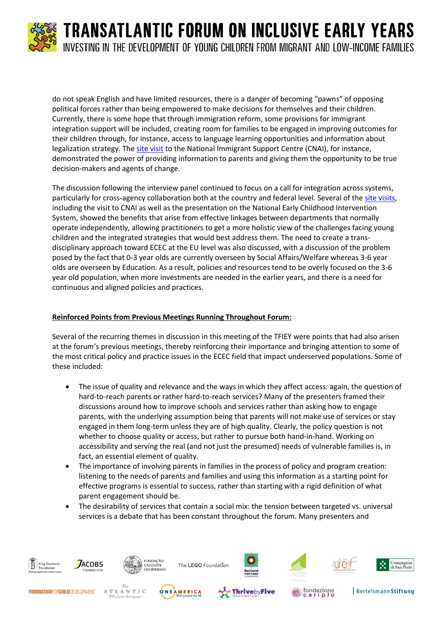

do not speak English and have limited resources, there is a danger of becoming "pawns" of opposing political forces rather than being empowered to make decisions for themselves and their children. Currently, there is some hope that through immigration reform, some provisions for immigrant integration support will be included, creating room for families to be engaged in improving outcomes for their children through, for instance, access to language learning opportunities and information about legalization strategy. The [site visit](https://www.youtube.com/watch?v=i0dKEaO3CWU&feature=youtu.be) to the National Immigrant Support Centre (CNAI), for instance, demonstrated the power of providing information to parents and giving them the opportunity to be true decision-makers and agents of change.

The discussion following the interview panel continued to focus on a call for integration across systems, particularly for cross-agency collaboration both at the country and federal level. Several of th[e site visits,](https://www.youtube.com/watch?v=i0dKEaO3CWU&feature=youtu.be) including the visit to CNAI as well as the presentation on the National Early Childhood Intervention System, showed the benefits that arise from effective linkages between departments that normally operate independently, allowing practitioners to get a more holistic view of the challenges facing young children and the integrated strategies that would best address them. The need to create a transdisciplinary approach toward ECEC at the EU level was also discussed, with a discussion of the problem posed by the fact that 0-3 year olds are currently overseen by Social Affairs/Welfare whereas 3-6 year olds are overseen by Education. As a result, policies and resources tend to be overly focused on the 3-6 year old population, when more investments are needed in the earlier years, and there is a need for continuous and aligned policies and practices.

#### **Reinforced Points from Previous Meetings Running Throughout Forum:**

Several of the recurring themes in discussion in this meeting of the TFIEY were points that had also arisen at the forum's previous meetings, thereby reinforcing their importance and bringing attention to some of the most critical policy and practice issues in the ECEC field that impact underserved populations. Some of these included:

- The issue of quality and relevance and the ways in which they affect access: again, the question of hard-to-reach parents or rather hard-to-reach services? Many of the presenters framed their discussions around how to improve schools and services rather than asking how to engage parents, with the underlying assumption being that parents will not make use of services or stay engaged in them long-term unless they are of high quality. Clearly, the policy question is not whether to choose quality or access, but rather to pursue both hand-in-hand. Working on accessibility and serving the real (and not just the presumed) needs of vulnerable families is, in fact, an essential element of quality.
- The importance of involving parents in families in the process of policy and program creation: listening to the needs of parents and families and using this information as a starting point for effective programs is essential to success, rather than starting with a rigid definition of what parent engagement should be.
- The desirability of services that contain a social mix: the tension between targeted vs. universal services is a debate that has been constant throughout the forum. Many presenters and



Philanthropies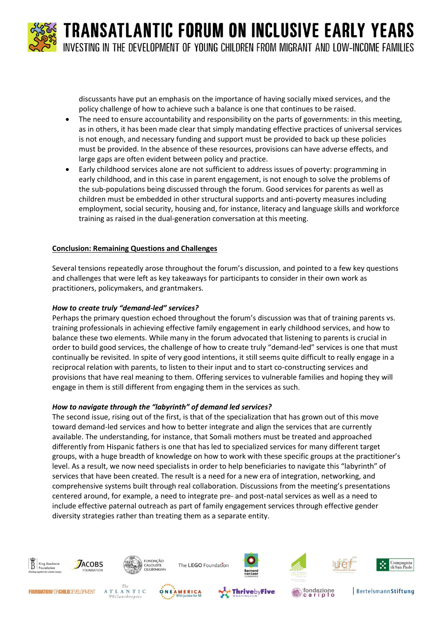> discussants have put an emphasis on the importance of having socially mixed services, and the policy challenge of how to achieve such a balance is one that continues to be raised.

- The need to ensure accountability and responsibility on the parts of governments: in this meeting, as in others, it has been made clear that simply mandating effective practices of universal services is not enough, and necessary funding and support must be provided to back up these policies must be provided. In the absence of these resources, provisions can have adverse effects, and large gaps are often evident between policy and practice.
- Early childhood services alone are not sufficient to address issues of poverty: programming in early childhood, and in this case in parent engagement, is not enough to solve the problems of the sub-populations being discussed through the forum. Good services for parents as well as children must be embedded in other structural supports and anti-poverty measures including employment, social security, housing and, for instance, literacy and language skills and workforce training as raised in the dual-generation conversation at this meeting.

#### **Conclusion: Remaining Questions and Challenges**

Several tensions repeatedly arose throughout the forum's discussion, and pointed to a few key questions and challenges that were left as key takeaways for participants to consider in their own work as practitioners, policymakers, and grantmakers.

#### *How to create truly "demand-led" services?*

Perhaps the primary question echoed throughout the forum's discussion was that of training parents vs. training professionals in achieving effective family engagement in early childhood services, and how to balance these two elements. While many in the forum advocated that listening to parents is crucial in order to build good services, the challenge of how to create truly "demand-led" services is one that must continually be revisited. In spite of very good intentions, it still seems quite difficult to really engage in a reciprocal relation with parents, to listen to their input and to start co-constructing services and provisions that have real meaning to them. Offering services to vulnerable families and hoping they will engage in them is still different from engaging them in the services as such.

#### *How to navigate through the "labyrinth" of demand led services?*

The second issue, rising out of the first, is that of the specialization that has grown out of this move toward demand-led services and how to better integrate and align the services that are currently available. The understanding, for instance, that Somali mothers must be treated and approached differently from Hispanic fathers is one that has led to specialized services for many different target groups, with a huge breadth of knowledge on how to work with these specific groups at the practitioner's level. As a result, we now need specialists in order to help beneficiaries to navigate this "labyrinth" of services that have been created. The result is a need for a new era of integration, networking, and comprehensive systems built through real collaboration. Discussions from the meeting's presentations centered around, for example, a need to integrate pre- and post-natal services as well as a need to include effective paternal outreach as part of family engagement services through effective gender diversity strategies rather than treating them as a separate entity.

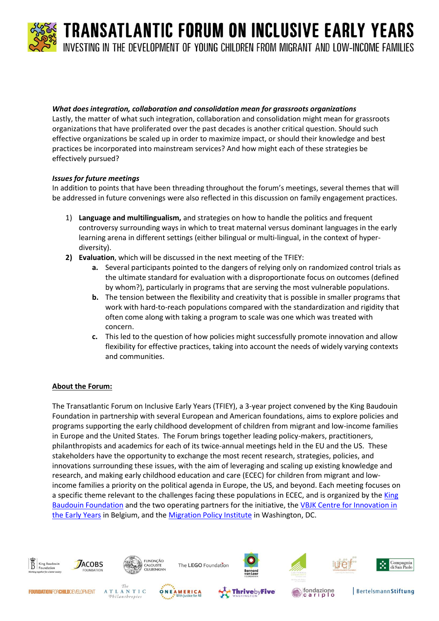#### *What does integration, collaboration and consolidation mean for grassroots organizations*

Lastly, the matter of what such integration, collaboration and consolidation might mean for grassroots organizations that have proliferated over the past decades is another critical question. Should such effective organizations be scaled up in order to maximize impact, or should their knowledge and best practices be incorporated into mainstream services? And how might each of these strategies be effectively pursued?

#### *Issues for future meetings*

In addition to points that have been threading throughout the forum's meetings, several themes that will be addressed in future convenings were also reflected in this discussion on family engagement practices.

- 1) **Language and multilingualism,** and strategies on how to handle the politics and frequent controversy surrounding ways in which to treat maternal versus dominant languages in the early learning arena in different settings (either bilingual or multi-lingual, in the context of hyperdiversity).
- **2) Evaluation**, which will be discussed in the next meeting of the TFIEY:
	- **a.** Several participants pointed to the dangers of relying only on randomized control trials as the ultimate standard for evaluation with a disproportionate focus on outcomes (defined by whom?), particularly in programs that are serving the most vulnerable populations.
	- **b.** The tension between the flexibility and creativity that is possible in smaller programs that work with hard-to-reach populations compared with the standardization and rigidity that often come along with taking a program to scale was one which was treated with concern.
	- **c.** This led to the question of how policies might successfully promote innovation and allow flexibility for effective practices, taking into account the needs of widely varying contexts and communities.

#### **About the Forum:**

The Transatlantic Forum on Inclusive Early Years (TFIEY), a 3-year project convened by the King Baudouin Foundation in partnership with several European and American foundations, aims to explore policies and programs supporting the early childhood development of children from migrant and low-income families in Europe and the United States. The Forum brings together leading policy-makers, practitioners, philanthropists and academics for each of its twice-annual meetings held in the EU and the US. These stakeholders have the opportunity to exchange the most recent research, strategies, policies, and innovations surrounding these issues, with the aim of leveraging and scaling up existing knowledge and research, and making early childhood education and care (ECEC) for children from migrant and lowincome families a priority on the political agenda in Europe, the US, and beyond. Each meeting focuses on a specific theme relevant to the challenges facing these populations in ECEC, and is organized by the King [Baudouin Foundation](http://www.kbs-frb.be/index.aspx?langtype=1033) and the two operating partners for the initiative, the [VBJK Centre for Innovation in](http://www.vbjk.be/en)  [the Early Years](http://www.vbjk.be/en) in Belgium, and the [Migration Policy Institute](http://migrationpolicy.org/) in Washington, DC.